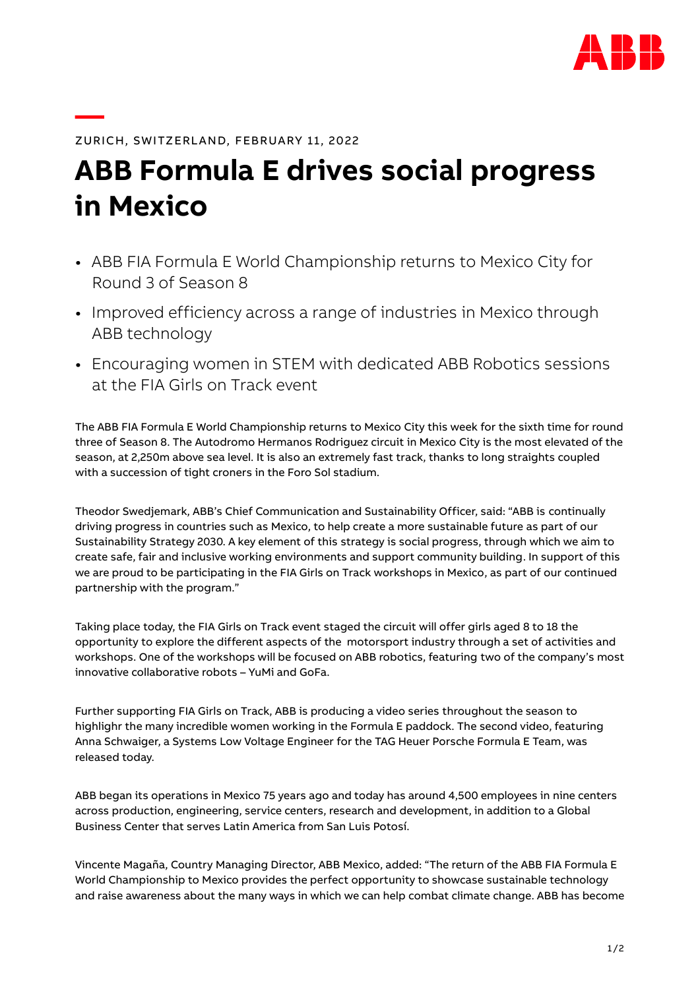

ZURICH, SWITZERLAND, FEBRUARY 11, 2022

## **ABB Formula E drives social progress in Mexico**

- ABB FIA Formula E World Championship returns to Mexico City for Round 3 of Season 8
- Improved efficiency across a range of industries in Mexico through ABB technology
- Encouraging women in STEM with dedicated ABB Robotics sessions at the FIA Girls on Track event

The ABB FIA Formula E World Championship returns to Mexico City this week for the sixth time for round three of Season 8. The Autodromo Hermanos Rodriguez circuit in Mexico City is the most elevated of the season, at 2,250m above sea level. It is also an extremely fast track, thanks to long straights coupled with a succession of tight croners in the Foro Sol stadium.

Theodor Swedjemark, ABB's Chief Communication and Sustainability Officer, said: "ABB is continually driving progress in countries such as Mexico, to help create a more sustainable future as part of our Sustainability Strategy 2030. A key element of this strategy is social progress, through which we aim to create safe, fair and inclusive working environments and support community building. In support of this we are proud to be participating in the FIA Girls on Track workshops in Mexico, as part of our continued partnership with the program."

Taking place today, the FIA Girls on Track event staged the circuit will offer girls aged 8 to 18 the opportunity to explore the different aspects of the motorsport industry through a set of activities and workshops. One of the workshops will be focused on ABB robotics, featuring two of the company's most innovative collaborative robots – YuMi and GoFa.

Further supporting FIA Girls on Track, ABB is producing a video series throughout the season to highlighr the many incredible women working in the Formula E paddock. The [second video,](https://www.youtube.com/watch?v=EkrisXQY_Jg) featuring Anna Schwaiger, a Systems Low Voltage Engineer for the TAG Heuer Porsche Formula E Team, was released today.

ABB began its operations in Mexico 75 years ago and today has around 4,500 employees in nine centers across production, engineering, service centers, research and development, in addition to a Global Business Center that serves Latin America from San Luis Potosí.

Vincente Magaña, Country Managing Director, ABB Mexico, added: "The return of the ABB FIA Formula E World Championship to Mexico provides the perfect opportunity to showcase sustainable technology and raise awareness about the many ways in which we can help combat climate change. ABB has become